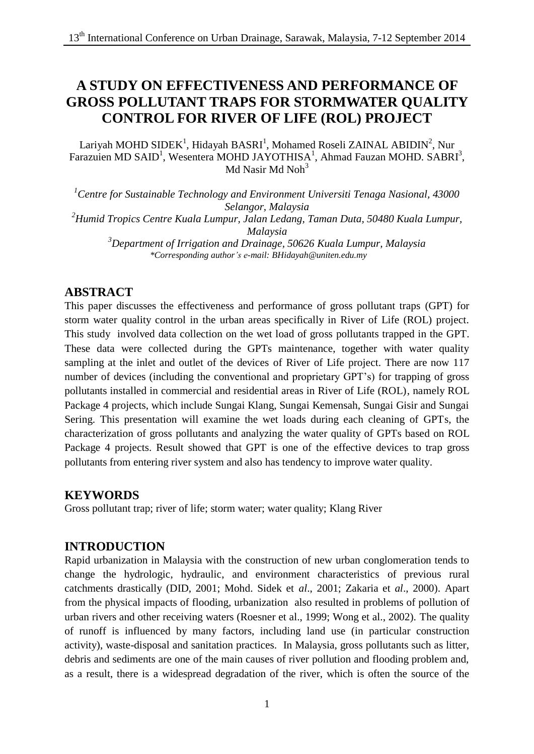# **A STUDY ON EFFECTIVENESS AND PERFORMANCE OF GROSS POLLUTANT TRAPS FOR STORMWATER QUALITY CONTROL FOR RIVER OF LIFE (ROL) PROJECT**

Lariyah MOHD SIDEK<sup>1</sup>, Hidayah BASRI<sup>1</sup>, Mohamed Roseli ZAINAL ABIDIN<sup>2</sup>, Nur Farazuien MD SAID<sup>1</sup>, Wesentera MOHD JAYOTHISA<sup>1</sup>, Ahmad Fauzan MOHD. SABRI<sup>3</sup>, Md Nasir Md Noh<sup>3</sup>

*<sup>1</sup>Centre for Sustainable Technology and Environment Universiti Tenaga Nasional, 43000 Selangor, Malaysia <sup>2</sup>Humid Tropics Centre Kuala Lumpur, Jalan Ledang, Taman Duta, 50480 Kuala Lumpur, Malaysia <sup>3</sup>Department of Irrigation and Drainage, 50626 Kuala Lumpur, Malaysia \*Corresponding author's e-mail: BHidayah@uniten.edu.my*

# **ABSTRACT**

This paper discusses the effectiveness and performance of gross pollutant traps (GPT) for storm water quality control in the urban areas specifically in River of Life (ROL) project. This study involved data collection on the wet load of gross pollutants trapped in the GPT. These data were collected during the GPTs maintenance, together with water quality sampling at the inlet and outlet of the devices of River of Life project. There are now 117 number of devices (including the conventional and proprietary GPT's) for trapping of gross pollutants installed in commercial and residential areas in River of Life (ROL), namely ROL Package 4 projects, which include Sungai Klang, Sungai Kemensah, Sungai Gisir and Sungai Sering. This presentation will examine the wet loads during each cleaning of GPTs, the characterization of gross pollutants and analyzing the water quality of GPTs based on ROL Package 4 projects. Result showed that GPT is one of the effective devices to trap gross pollutants from entering river system and also has tendency to improve water quality.

# **KEYWORDS**

Gross pollutant trap; river of life; storm water; water quality; Klang River

# **INTRODUCTION**

Rapid urbanization in Malaysia with the construction of new urban conglomeration tends to change the hydrologic, hydraulic, and environment characteristics of previous rural catchments drastically (DID, 2001; Mohd. Sidek et *al*., 2001; Zakaria et *al*., 2000). Apart from the physical impacts of flooding, urbanization also resulted in problems of pollution of urban rivers and other receiving waters (Roesner et al., 1999; Wong et al., 2002). The quality of runoff is influenced by many factors, including land use (in particular construction activity), waste-disposal and sanitation practices. In Malaysia, gross pollutants such as litter, debris and sediments are one of the main causes of river pollution and flooding problem and, as a result, there is a widespread degradation of the river, which is often the source of the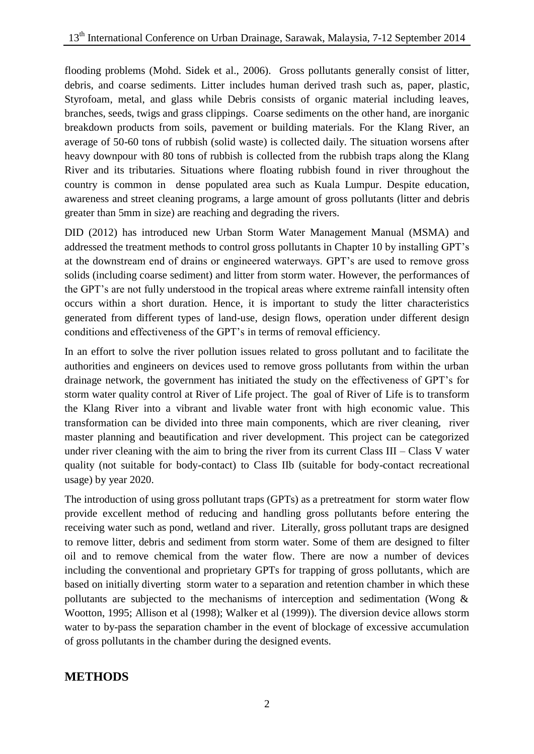flooding problems (Mohd. Sidek et al., 2006). Gross pollutants generally consist of litter, debris, and coarse sediments. Litter includes human derived trash such as, paper, plastic, Styrofoam, metal, and glass while Debris consists of organic material including leaves, branches, seeds, twigs and grass clippings. Coarse sediments on the other hand, are inorganic breakdown products from soils, pavement or building materials. For the Klang River, an average of 50-60 tons of rubbish (solid waste) is collected daily. The situation worsens after heavy downpour with 80 tons of rubbish is collected from the rubbish traps along the Klang River and its tributaries. Situations where floating rubbish found in river throughout the country is common in dense populated area such as Kuala Lumpur. Despite education, awareness and street cleaning programs, a large amount of gross pollutants (litter and debris greater than 5mm in size) are reaching and degrading the rivers.

DID (2012) has introduced new Urban Storm Water Management Manual (MSMA) and addressed the treatment methods to control gross pollutants in Chapter 10 by installing GPT's at the downstream end of drains or engineered waterways. GPT's are used to remove gross solids (including coarse sediment) and litter from storm water. However, the performances of the GPT's are not fully understood in the tropical areas where extreme rainfall intensity often occurs within a short duration. Hence, it is important to study the litter characteristics generated from different types of land-use, design flows, operation under different design conditions and effectiveness of the GPT's in terms of removal efficiency.

In an effort to solve the river pollution issues related to gross pollutant and to facilitate the authorities and engineers on devices used to remove gross pollutants from within the urban drainage network, the government has initiated the study on the effectiveness of GPT's for storm water quality control at River of Life project. The goal of River of Life is to transform the Klang River into a vibrant and livable water front with high economic value. This transformation can be divided into three main components, which are river cleaning, river master planning and beautification and river development. This project can be categorized under river cleaning with the aim to bring the river from its current Class III – Class V water quality (not suitable for body-contact) to Class IIb (suitable for body-contact recreational usage) by year 2020.

The introduction of using gross pollutant traps (GPTs) as a pretreatment for storm water flow provide excellent method of reducing and handling gross pollutants before entering the receiving water such as pond, wetland and river. Literally, gross pollutant traps are designed to remove litter, debris and sediment from storm water. Some of them are designed to filter oil and to remove chemical from the water flow. There are now a number of devices including the conventional and proprietary GPTs for trapping of gross pollutants, which are based on initially diverting storm water to a separation and retention chamber in which these pollutants are subjected to the mechanisms of interception and sedimentation (Wong & Wootton, 1995; Allison et al (1998); Walker et al (1999)). The diversion device allows storm water to by-pass the separation chamber in the event of blockage of excessive accumulation of gross pollutants in the chamber during the designed events.

# **METHODS**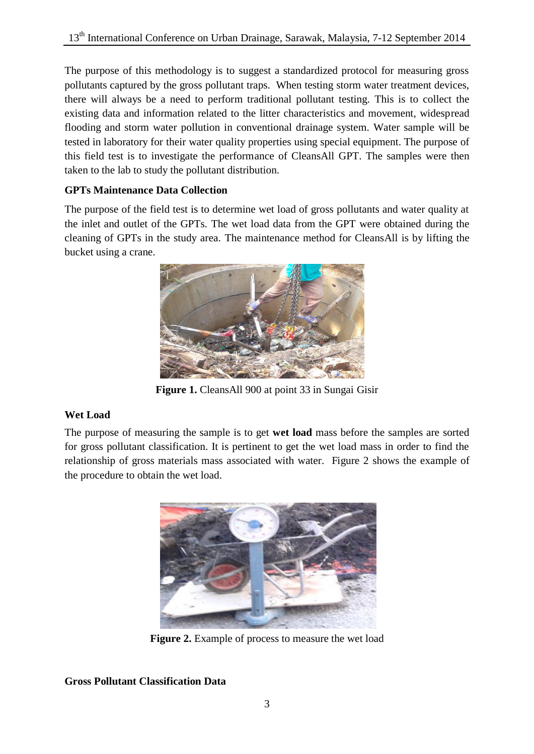The purpose of this methodology is to suggest a standardized protocol for measuring gross pollutants captured by the gross pollutant traps. When testing storm water treatment devices, there will always be a need to perform traditional pollutant testing. This is to collect the existing data and information related to the litter characteristics and movement, widespread flooding and storm water pollution in conventional drainage system. Water sample will be tested in laboratory for their water quality properties using special equipment. The purpose of this field test is to investigate the performance of CleansAll GPT. The samples were then taken to the lab to study the pollutant distribution.

# **GPTs Maintenance Data Collection**

The purpose of the field test is to determine wet load of gross pollutants and water quality at the inlet and outlet of the GPTs. The wet load data from the GPT were obtained during the cleaning of GPTs in the study area. The maintenance method for CleansAll is by lifting the bucket using a crane.



**Figure 1.** CleansAll 900 at point 33 in Sungai Gisir

# **Wet Load**

The purpose of measuring the sample is to get **wet load** mass before the samples are sorted for gross pollutant classification. It is pertinent to get the wet load mass in order to find the relationship of gross materials mass associated with water. Figure 2 shows the example of the procedure to obtain the wet load.



**Figure 2.** Example of process to measure the wet load

# **Gross Pollutant Classification Data**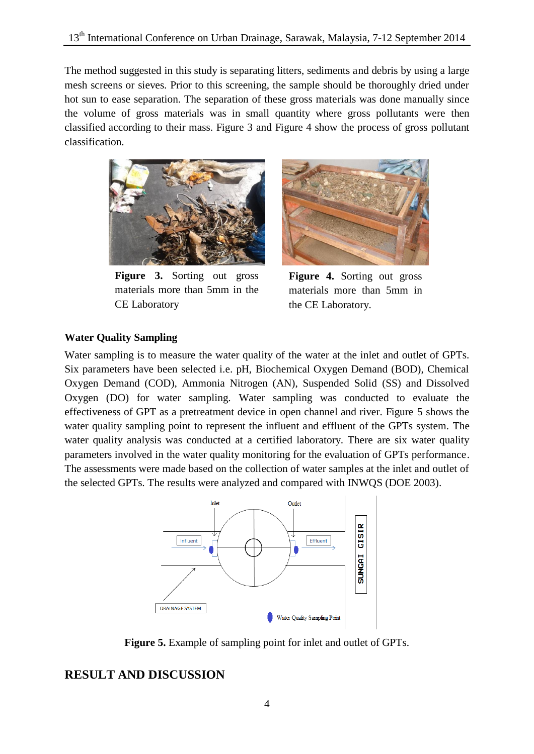The method suggested in this study is separating litters, sediments and debris by using a large mesh screens or sieves. Prior to this screening, the sample should be thoroughly dried under hot sun to ease separation. The separation of these gross materials was done manually since the volume of gross materials was in small quantity where gross pollutants were then classified according to their mass. Figure 3 and Figure 4 show the process of gross pollutant classification.



**Figure 3.** Sorting out gross materials more than 5mm in the CE Laboratory



**Figure 4.** Sorting out gross materials more than 5mm in the CE Laboratory.

#### **Water Quality Sampling**

Water sampling is to measure the water quality of the water at the inlet and outlet of GPTs. Six parameters have been selected i.e. pH, Biochemical Oxygen Demand (BOD), Chemical Oxygen Demand (COD), Ammonia Nitrogen (AN), Suspended Solid (SS) and Dissolved Oxygen (DO) for water sampling. Water sampling was conducted to evaluate the effectiveness of GPT as a pretreatment device in open channel and river. Figure 5 shows the water quality sampling point to represent the influent and effluent of the GPTs system. The water quality analysis was conducted at a certified laboratory. There are six water quality parameters involved in the water quality monitoring for the evaluation of GPTs performance. The assessments were made based on the collection of water samples at the inlet and outlet of the selected GPTs. The results were analyzed and compared with INWQS (DOE 2003).



**Figure 5.** Example of sampling point for inlet and outlet of GPTs.

# **RESULT AND DISCUSSION**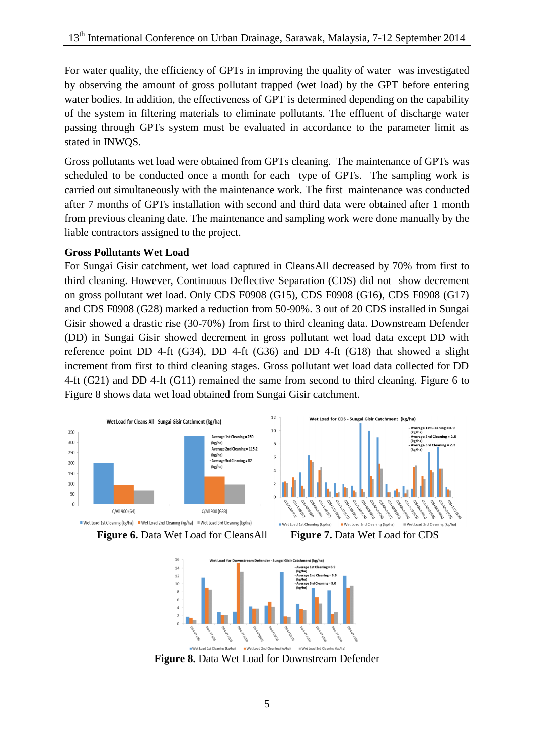For water quality, the efficiency of GPTs in improving the quality of water was investigated by observing the amount of gross pollutant trapped (wet load) by the GPT before entering water bodies. In addition, the effectiveness of GPT is determined depending on the capability of the system in filtering materials to eliminate pollutants. The effluent of discharge water passing through GPTs system must be evaluated in accordance to the parameter limit as stated in INWQS.

Gross pollutants wet load were obtained from GPTs cleaning. The maintenance of GPTs was scheduled to be conducted once a month for each type of GPTs. The sampling work is carried out simultaneously with the maintenance work. The first maintenance was conducted after 7 months of GPTs installation with second and third data were obtained after 1 month from previous cleaning date. The maintenance and sampling work were done manually by the liable contractors assigned to the project.

#### **Gross Pollutants Wet Load**

For Sungai Gisir catchment, wet load captured in CleansAll decreased by 70% from first to third cleaning. However, Continuous Deflective Separation (CDS) did not show decrement on gross pollutant wet load. Only CDS F0908 (G15), CDS F0908 (G16), CDS F0908 (G17) and CDS F0908 (G28) marked a reduction from 50-90%. 3 out of 20 CDS installed in Sungai Gisir showed a drastic rise (30-70%) from first to third cleaning data. Downstream Defender (DD) in Sungai Gisir showed decrement in gross pollutant wet load data except DD with reference point DD 4-ft (G34), DD 4-ft (G36) and DD 4-ft (G18) that showed a slight increment from first to third cleaning stages. Gross pollutant wet load data collected for DD 4-ft (G21) and DD 4-ft (G11) remained the same from second to third cleaning. Figure 6 to Figure 8 shows data wet load obtained from Sungai Gisir catchment.





**Figure 6.** Data Wet Load for CleansAll **Figure 7.** Data Wet Load for CDS



**Figure 8.** Data Wet Load for Downstream Defender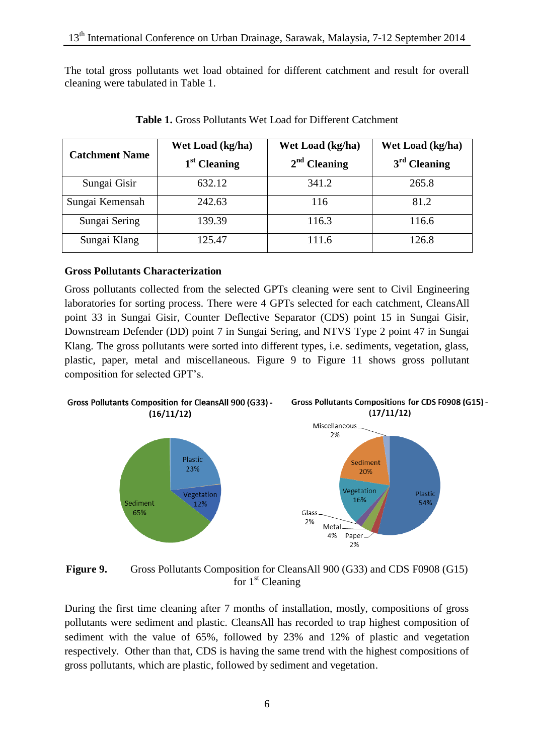The total gross pollutants wet load obtained for different catchment and result for overall cleaning were tabulated in Table 1.

| <b>Catchment Name</b> | Wet Load (kg/ha)<br>$1st$ Cleaning | Wet Load (kg/ha)<br>$2nd$ Cleaning | Wet Load (kg/ha)<br>$3rd$ Cleaning |  |  |  |
|-----------------------|------------------------------------|------------------------------------|------------------------------------|--|--|--|
| Sungai Gisir          | 632.12                             | 341.2                              | 265.8                              |  |  |  |
| Sungai Kemensah       | 242.63                             | 116                                | 81.2                               |  |  |  |
| Sungai Sering         | 139.39                             | 116.3                              | 116.6                              |  |  |  |
| Sungai Klang          | 125.47                             | 111.6                              | 126.8                              |  |  |  |

**Table 1.** Gross Pollutants Wet Load for Different Catchment

### **Gross Pollutants Characterization**

Gross pollutants collected from the selected GPTs cleaning were sent to Civil Engineering laboratories for sorting process. There were 4 GPTs selected for each catchment, CleansAll point 33 in Sungai Gisir, Counter Deflective Separator (CDS) point 15 in Sungai Gisir, Downstream Defender (DD) point 7 in Sungai Sering, and NTVS Type 2 point 47 in Sungai Klang. The gross pollutants were sorted into different types, i.e. sediments, vegetation, glass, plastic, paper, metal and miscellaneous. Figure 9 to Figure 11 shows gross pollutant composition for selected GPT's.



Figure 9. Gross Pollutants Composition for CleansAll 900 (G33) and CDS F0908 (G15) for  $1<sup>st</sup>$  Cleaning

During the first time cleaning after 7 months of installation, mostly, compositions of gross pollutants were sediment and plastic. CleansAll has recorded to trap highest composition of sediment with the value of 65%, followed by 23% and 12% of plastic and vegetation respectively. Other than that, CDS is having the same trend with the highest compositions of gross pollutants, which are plastic, followed by sediment and vegetation.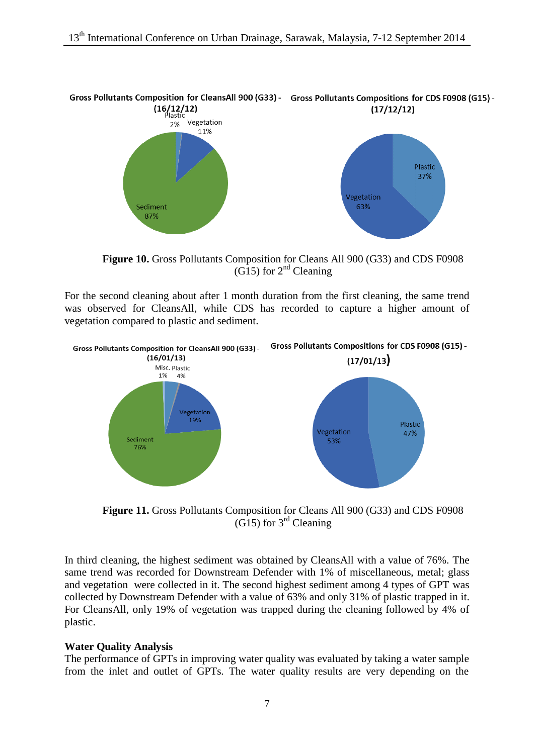

**Figure 10.** Gross Pollutants Composition for Cleans All 900 (G33) and CDS F0908  $(G15)$  for  $2<sup>nd</sup>$  Cleaning

For the second cleaning about after 1 month duration from the first cleaning, the same trend was observed for CleansAll, while CDS has recorded to capture a higher amount of vegetation compared to plastic and sediment.



**Figure 11.** Gross Pollutants Composition for Cleans All 900 (G33) and CDS F0908  $(G15)$  for 3<sup>rd</sup> Cleaning

In third cleaning, the highest sediment was obtained by CleansAll with a value of 76%. The same trend was recorded for Downstream Defender with 1% of miscellaneous, metal; glass and vegetation were collected in it. The second highest sediment among 4 types of GPT was collected by Downstream Defender with a value of 63% and only 31% of plastic trapped in it. For CleansAll, only 19% of vegetation was trapped during the cleaning followed by 4% of plastic.

#### **Water Quality Analysis**

The performance of GPTs in improving water quality was evaluated by taking a water sample from the inlet and outlet of GPTs. The water quality results are very depending on the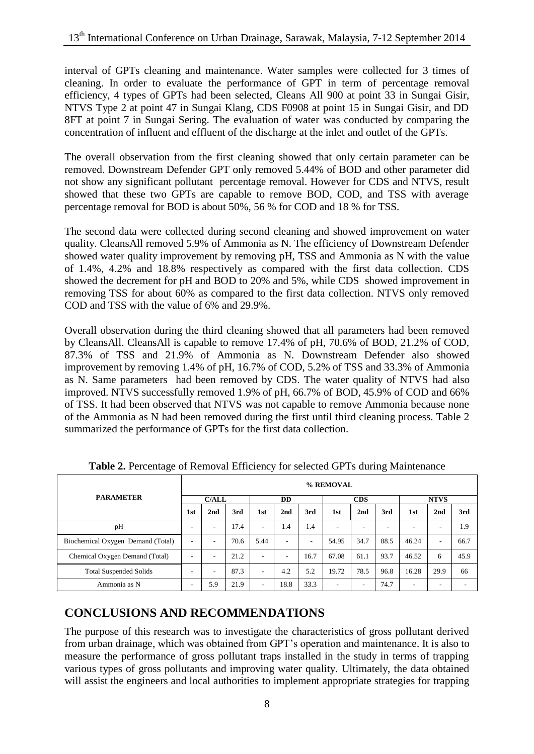interval of GPTs cleaning and maintenance. Water samples were collected for 3 times of cleaning. In order to evaluate the performance of GPT in term of percentage removal efficiency, 4 types of GPTs had been selected, Cleans All 900 at point 33 in Sungai Gisir, NTVS Type 2 at point 47 in Sungai Klang, CDS F0908 at point 15 in Sungai Gisir, and DD 8FT at point 7 in Sungai Sering. The evaluation of water was conducted by comparing the concentration of influent and effluent of the discharge at the inlet and outlet of the GPTs.

The overall observation from the first cleaning showed that only certain parameter can be removed. Downstream Defender GPT only removed 5.44% of BOD and other parameter did not show any significant pollutant percentage removal. However for CDS and NTVS, result showed that these two GPTs are capable to remove BOD, COD, and TSS with average percentage removal for BOD is about 50%, 56 % for COD and 18 % for TSS.

The second data were collected during second cleaning and showed improvement on water quality. CleansAll removed 5.9% of Ammonia as N. The efficiency of Downstream Defender showed water quality improvement by removing pH, TSS and Ammonia as N with the value of 1.4%, 4.2% and 18.8% respectively as compared with the first data collection. CDS showed the decrement for pH and BOD to 20% and 5%, while CDS showed improvement in removing TSS for about 60% as compared to the first data collection. NTVS only removed COD and TSS with the value of 6% and 29.9%.

Overall observation during the third cleaning showed that all parameters had been removed by CleansAll. CleansAll is capable to remove 17.4% of pH, 70.6% of BOD, 21.2% of COD, 87.3% of TSS and 21.9% of Ammonia as N. Downstream Defender also showed improvement by removing 1.4% of pH, 16.7% of COD, 5.2% of TSS and 33.3% of Ammonia as N. Same parameters had been removed by CDS. The water quality of NTVS had also improved. NTVS successfully removed 1.9% of pH, 66.7% of BOD, 45.9% of COD and 66% of TSS. It had been observed that NTVS was not capable to remove Ammonia because none of the Ammonia as N had been removed during the first until third cleaning process. Table 2 summarized the performance of GPTs for the first data collection.

| <b>PARAMETER</b>                  |     | % REMOVAL       |      |           |                          |            |                          |                          |      |       |                          |      |
|-----------------------------------|-----|-----------------|------|-----------|--------------------------|------------|--------------------------|--------------------------|------|-------|--------------------------|------|
|                                   |     | C/ALL           |      | <b>DD</b> |                          | <b>CDS</b> |                          | <b>NTVS</b>              |      |       |                          |      |
|                                   | 1st | 2 <sub>nd</sub> | 3rd  | 1st       | 2 <sub>nd</sub>          | 3rd        | 1st                      | 2nd                      | 3rd  | 1st   | 2 <sub>nd</sub>          | 3rd  |
| pH                                | ۰   | -               | 17.4 | ٠         | 1.4                      | 1.4        | ۰                        | ۰                        |      | ۰.    | -                        | 1.9  |
| Biochemical Oxygen Demand (Total) | ۰   | ۰               | 70.6 | 5.44      | $\overline{\phantom{a}}$ | ٠          | 54.95                    | 34.7                     | 88.5 | 46.24 | ٠                        | 66.7 |
| Chemical Oxygen Demand (Total)    | ۰   | -               | 21.2 | ٠         | $\overline{\phantom{a}}$ | 16.7       | 67.08                    | 61.1                     | 93.7 | 46.52 | 6                        | 45.9 |
| <b>Total Suspended Solids</b>     |     | -               | 87.3 | ۰         | 4.2                      | 5.2        | 19.72                    | 78.5                     | 96.8 | 16.28 | 29.9                     | 66   |
| Ammonia as N                      |     | 5.9             | 21.9 | ٠         | 18.8                     | 33.3       | $\overline{\phantom{a}}$ | $\overline{\phantom{a}}$ | 74.7 | ٠     | $\overline{\phantom{a}}$ |      |

**Table 2.** Percentage of Removal Efficiency for selected GPTs during Maintenance

# **CONCLUSIONS AND RECOMMENDATIONS**

The purpose of this research was to investigate the characteristics of gross pollutant derived from urban drainage, which was obtained from GPT's operation and maintenance. It is also to measure the performance of gross pollutant traps installed in the study in terms of trapping various types of gross pollutants and improving water quality. Ultimately, the data obtained will assist the engineers and local authorities to implement appropriate strategies for trapping